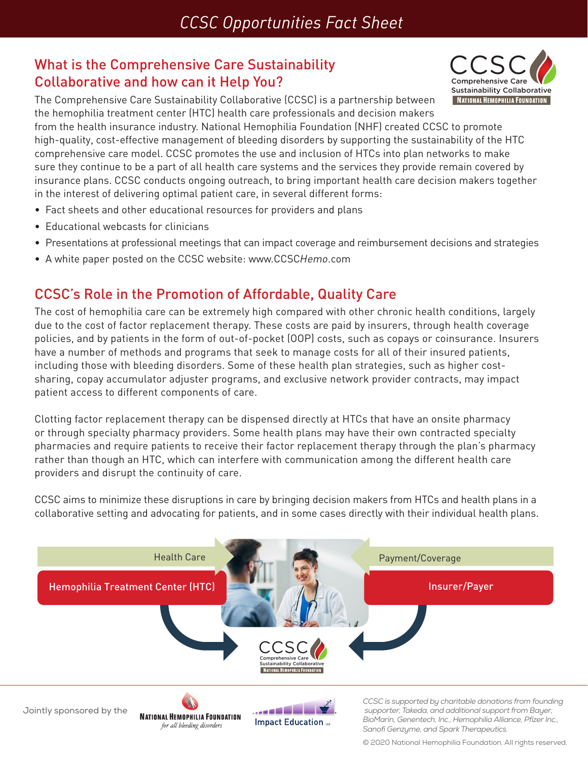### What is the Comprehensive Care Sustainability Collaborative and how can it Help You?



The Comprehensive Care Sustainability Collaborative (CCSC) is a partnership between the hemophilia treatment center (HTC) health care professionals and decision makers from the health insurance industry. National Hemophilia Foundation (NHF) created CCSC to promote high-quality, cost-effective management of bleeding disorders by supporting the sustainability of the HTC comprehensive care model. CCSC promotes the use and inclusion of HTCs into plan networks to make sure they continue to be a part of all health care systems and the services they provide remain covered by insurance plans. CCSC conducts ongoing outreach, to bring important health care decision makers together in the interest of delivering optimal patient care, in several different forms:

- Fact sheets and other educational resources for providers and plans
- Educational webcasts for clinicians
- Presentations at professional meetings that can impact coverage and reimbursement decisions and strategies
- A white paper posted on the CCSC website: www.CCSC*Hemo*.com

#### CCSC's Role in the Promotion of Affordable, Quality Care

The cost of hemophilia care can be extremely high compared with other chronic health conditions, largely due to the cost of factor replacement therapy. These costs are paid by insurers, through health coverage policies, and by patients in the form of out-of-pocket (OOP) costs, such as copays or coinsurance. Insurers have a number of methods and programs that seek to manage costs for all of their insured patients, including those with bleeding disorders. Some of these health plan strategies, such as higher costsharing, copay accumulator adjuster programs, and exclusive network provider contracts, may impact patient access to different components of care.

Clotting factor replacement therapy can be dispensed directly at HTCs that have an onsite pharmacy or through specialty pharmacy providers. Some health plans may have their own contracted specialty pharmacies and require patients to receive their factor replacement therapy through the plan's pharmacy rather than though an HTC, which can interfere with communication among the different health care providers and disrupt the continuity of care.

CCSC aims to minimize these disruptions in care by bringing decision makers from HTCs and health plans in a collaborative setting and advocating for patients, and in some cases directly with their individual health plans.



© 2020 National Hemophilia Foundation. All rights reserved.